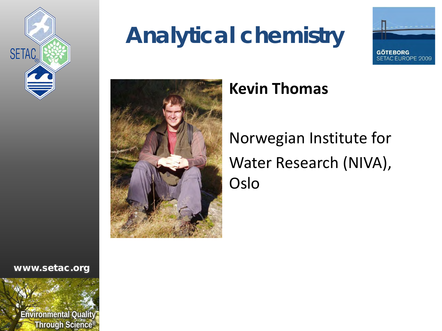

## **Analytical chemistry**





#### **Kevin Thomas**

Norwegian Institute for Water Research (NIVA), Oslo

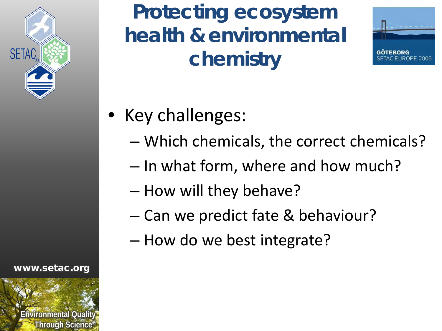

www.setac.org



**Protecting ecosystem health & environmental chemistry**



- Key challenges:
	- Which chemicals, the correct chemicals?
	- In what form, where and how much?
	- How will they behave?
	- Can we predict fate & behaviour?
	- How do we best integrate?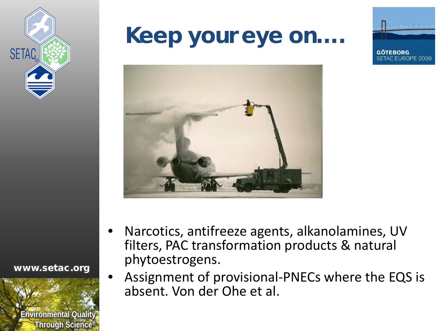

## **Keep your eye on….**







- Narcotics, antifreeze agents, alkanolamines, UV filters, PAC transformation products & natural phytoestrogens.
	- Assignment of provisional-PNECs where the EQS is absent. Von der Ohe et al.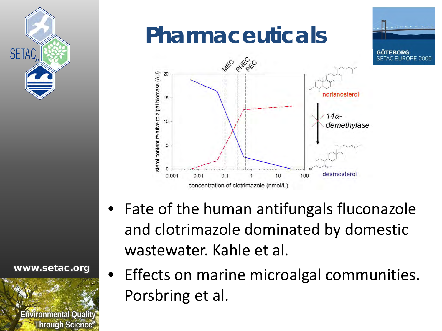

## **Pharmaceuticals**



• Fate of the human antifungals fluconazole and clotrimazole dominated by domestic wastewater. Kahle et al.

www.setac.org



• Effects on marine microalgal communities. Porsbring et al.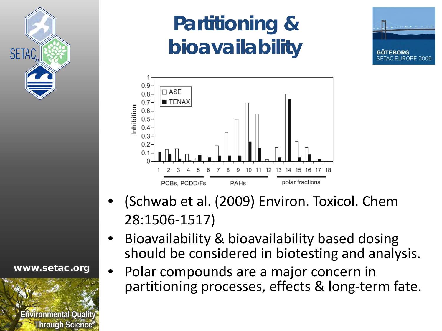

## **Partitioning & bioavailability**





- (Schwab et al. (2009) Environ. Toxicol. Chem 28:1506-1517)
- Bioavailability & bioavailability based dosing should be considered in biotesting and analysis.
	- Polar compounds are a major concern in partitioning processes, effects & long-term fate.

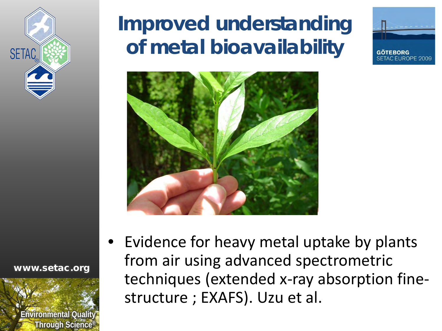

## **Improved understanding of metal bioavailability**







• Evidence for heavy metal uptake by plants from air using advanced spectrometric techniques (extended x-ray absorption finestructure ; EXAFS). Uzu et al.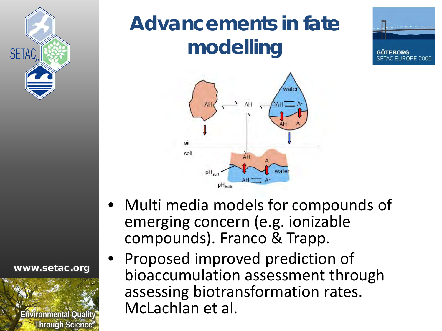

#### www.setac.org



## **Advancements in fate modelling**





- Multi media models for compounds of emerging concern (e.g. ionizable compounds). Franco & Trapp.
- Proposed improved prediction of bioaccumulation assessment through assessing biotransformation rates. McLachlan et al.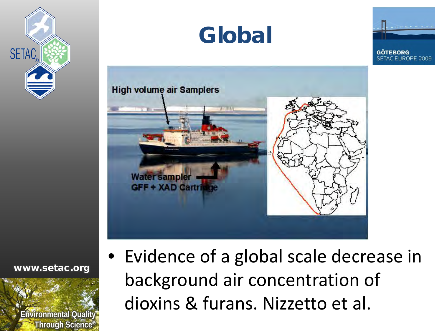







www.setac.org



• Evidence of a global scale decrease in background air concentration of dioxins & furans. Nizzetto et al.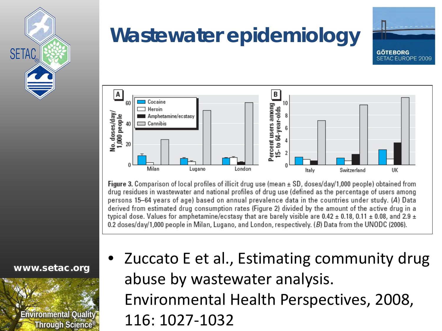

#### **Wastewater epidemiology**





**Figure 3.** Comparison of local profiles of illicit drug use (mean  $\pm$  SD, doses/day/1,000 people) obtained from drug residues in wastewater and national profiles of drug use (defined as the percentage of users among persons 15–64 years of age) based on annual prevalence data in the countries under study. (A) Data derived from estimated drug consumption rates (Figure 2) divided by the amount of the active drug in a typical dose. Values for amphetamine/ecstasy that are barely visible are 0.42  $\pm$  0.18, 0.11  $\pm$  0.08, and 2.9  $\pm$ 0.2 doses/day/1,000 people in Milan, Lugano, and London, respectively. (B) Data from the UNODC (2006).

www.setac.org



• Zuccato E et al., Estimating community drug abuse by wastewater analysis. Environmental Health Perspectives, 2008, 116: 1027-1032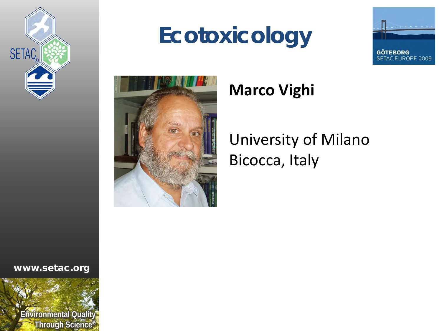

## **Ecotoxicology**





#### **Marco Vighi**

#### University of Milano Bicocca, Italy

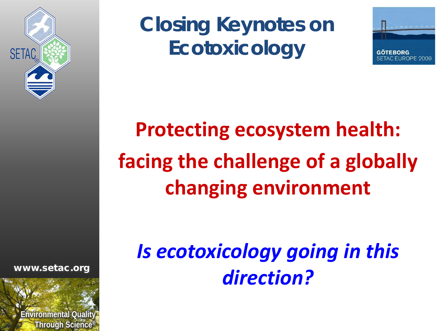

**Closing Keynotes on Ecotoxicology**



# **Protecting ecosystem health: facing the challenge of a globally changing environment**

*Is ecotoxicology going in this direction?*

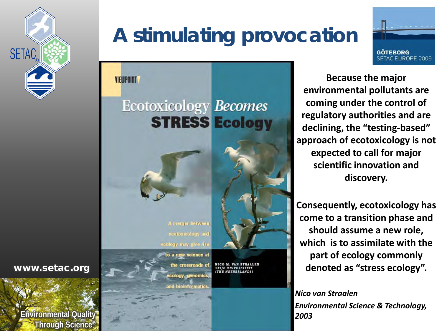

## **A stimulating provocation**



**GÖTEBORG SETAC EUROPE 2009 Because the major** 

**environmental pollutants are coming under the control of regulatory authorities and are declining, the "testing-based" approach of ecotoxicology is not expected to call for major scientific innovation and discovery.** 

**Consequently, ecotoxicology has come to a transition phase and should assume a new role, which is to assimilate with the part of ecology commonly denoted as "stress ecology".**

*Nico van Straalen Environmental Science & Technology, 2003*

www.setac.org

**Environmental Quality Through Science®**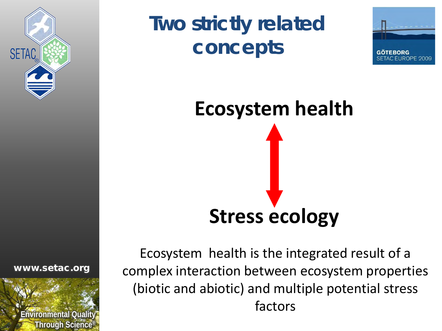

## **Two strictly related concepts**



# **Ecosystem health Stress ecology**

Ecosystem health is the integrated result of a complex interaction between ecosystem properties (biotic and abiotic) and multiple potential stress factors

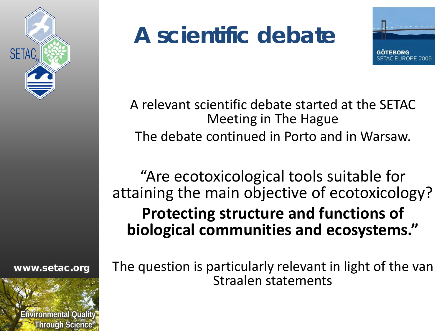

#### www.setac.org



## **A scientific debate**



A relevant scientific debate started at the SETAC Meeting in The Hague The debate continued in Porto and in Warsaw.

"Are ecotoxicological tools suitable for attaining the main objective of ecotoxicology? **Protecting structure and functions of biological communities and ecosystems."**

The question is particularly relevant in light of the van Straalen statements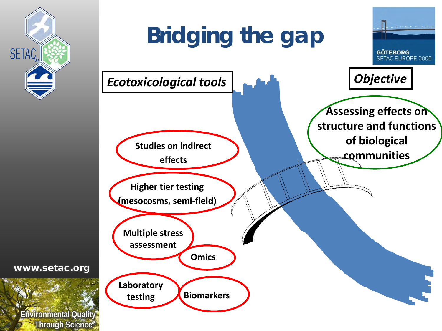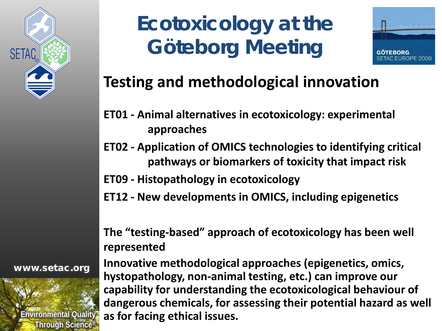

## **Ecotoxicology at the Göteborg Meeting**



#### **Testing and methodological innovation**

- **ET01 - Animal alternatives in ecotoxicology: experimental approaches**
- **ET02 - Application of OMICS technologies to identifying critical pathways or biomarkers of toxicity that impact risk**
- **ET09 - Histopathology in ecotoxicology**
- **ET12 - New developments in OMICS, including epigenetics**

#### **The "testing-based" approach of ecotoxicology has been well represented**

**Innovative methodological approaches (epigenetics, omics, hystopathology, non-animal testing, etc.) can improve our capability for understanding the ecotoxicological behaviour of dangerous chemicals, for assessing their potential hazard as well as for facing ethical issues.**

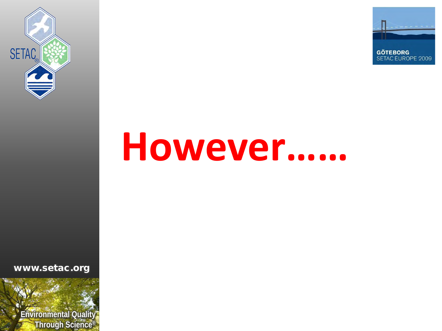



# **However……**

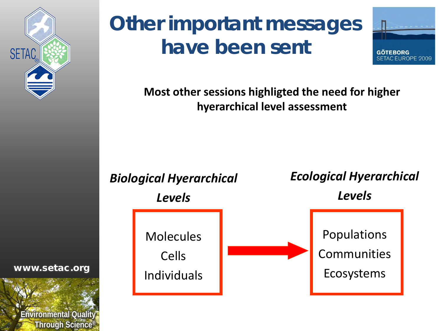

## **Other important messages have been sent**



**Most other sessions highligted the need for higher hyerarchical level assessment**



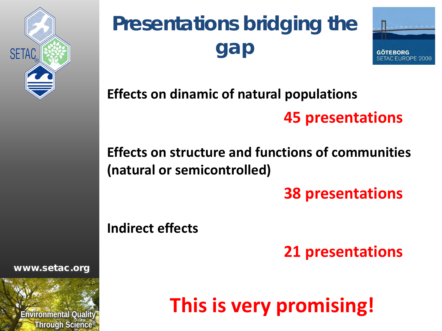

## **Presentations bridging the gap**



**Effects on dinamic of natural populations**

#### **45 presentations**

#### **Effects on structure and functions of communities (natural or semicontrolled)**

**38 presentations**

**Indirect effects**

**21 presentations**

**This is very promising!**

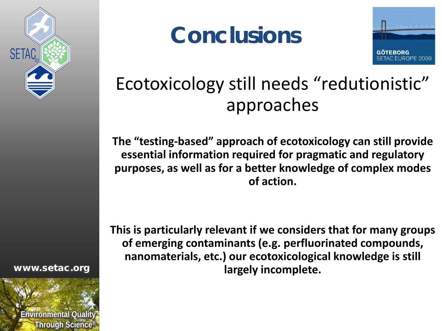

**Conclusions**



#### Ecotoxicology still needs "redutionistic" approaches

**The "testing-based" approach of ecotoxicology can still provide essential information required for pragmatic and regulatory purposes, as well as for a better knowledge of complex modes of action.**

**This is particularly relevant if we considers that for many groups of emerging contaminants (e.g. perfluorinated compounds, nanomaterials, etc.) our ecotoxicological knowledge is still largely incomplete.**

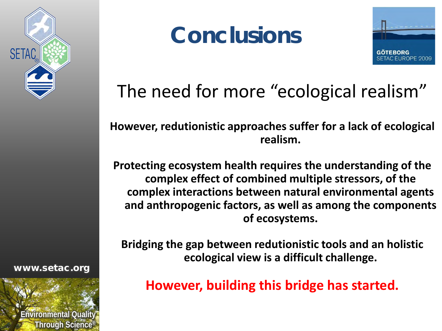

#### www.setac.org







#### The need for more "ecological realism"

**However, redutionistic approaches suffer for a lack of ecological realism.**

**Protecting ecosystem health requires the understanding of the complex effect of combined multiple stressors, of the complex interactions between natural environmental agents and anthropogenic factors, as well as among the components of ecosystems.**

**Bridging the gap between redutionistic tools and an holistic ecological view is a difficult challenge.**

**However, building this bridge has started.**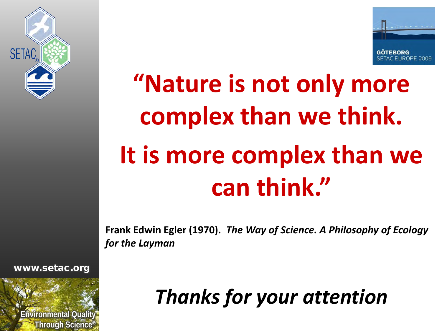



# **"Nature is not only more complex than we think. It is more complex than we can think."**

**Frank Edwin Egler (1970).** *The Way of Science. A Philosophy of Ecology for the Layman*

www.setac.org



*Thanks for your attention*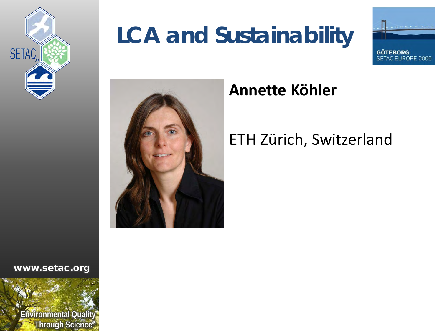

## **LCA and Sustainability**





#### **Annette Köhler**

#### ETH Zürich, Switzerland

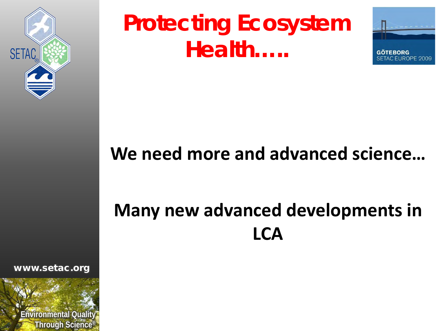

## **Protecting Ecosystem Health…..**



#### **We need more and advanced science…**

#### **Many new advanced developments in LCA**

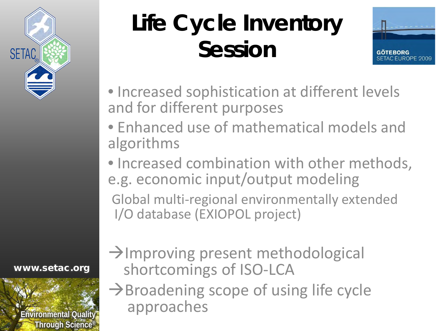

# **Life Cycle Inventory Session**



- Increased sophistication at different levels and for different purposes
- Enhanced use of mathematical models and algorithms
- Increased combination with other methods, e.g. economic input/output modeling

Global multi-regional environmentally extended I/O database (EXIOPOL project)

www.setac.org



 $\rightarrow$ Improving present methodological shortcomings of ISO-LCA

 $\rightarrow$ Broadening scope of using life cycle approaches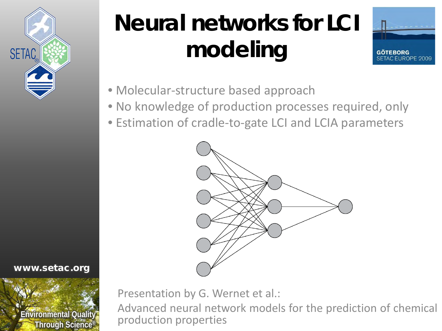

# **Neural networks for LCI modeling**



- Molecular-structure based approach
- No knowledge of production processes required, only
- Estimation of cradle-to-gate LCI and LCIA parameters

![](_page_25_Figure_6.jpeg)

![](_page_25_Picture_7.jpeg)

www.setac.org

Presentation by G. Wernet et al.:

Advanced neural network models for the prediction of chemical production properties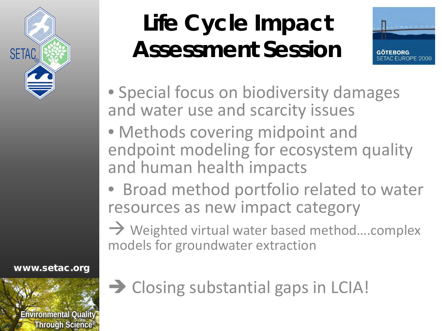![](_page_26_Picture_0.jpeg)

## **Life Cycle Impact Assessment Session**

![](_page_26_Picture_2.jpeg)

- Special focus on biodiversity damages and water use and scarcity issues
- Methods covering midpoint and endpoint modeling for ecosystem quality and human health impacts
- Broad method portfolio related to water resources as new impact category

 $\rightarrow$  Weighted virtual water based method....complex models for groundwater extraction

www.setac.org

![](_page_26_Picture_8.jpeg)

→ Closing substantial gaps in LCIA!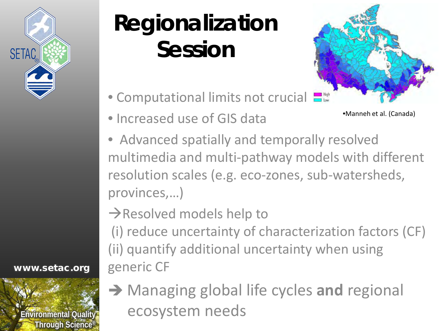![](_page_27_Picture_0.jpeg)

## **Regionalization Session**

- Computational limits not crucial
- Increased use of GIS data
- Advanced spatially and temporally resolved multimedia and multi-pathway models with different resolution scales (e.g. eco-zones, sub-watersheds, provinces,…)
- $\rightarrow$ Resolved models help to
- (i) reduce uncertainty of characterization factors (CF) (ii) quantify additional uncertainty when using generic CF

![](_page_27_Picture_7.jpeg)

www.setac.org

 Managing global life cycles **and** regional ecosystem needs

![](_page_27_Picture_9.jpeg)

•Manneh et al. (Canada)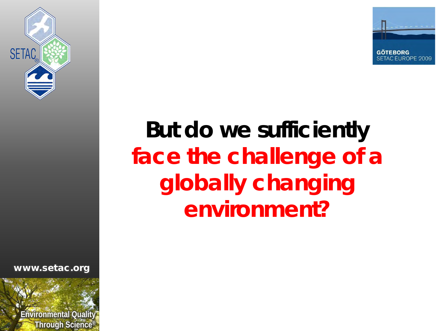![](_page_28_Picture_0.jpeg)

![](_page_28_Picture_1.jpeg)

## **But do we sufficiently face the challenge of a globally changing environment?**

![](_page_28_Picture_4.jpeg)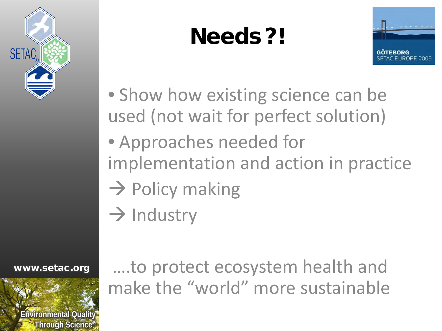![](_page_29_Picture_0.jpeg)

## **Needs ?!**

![](_page_29_Picture_2.jpeg)

- Show how existing science can be used (not wait for perfect solution)
- Approaches needed for implementation and action in practice
- $\rightarrow$  Policy making
- $\rightarrow$  Industry

www.setac.org

![](_page_29_Picture_8.jpeg)

….to protect ecosystem health and make the "world" more sustainable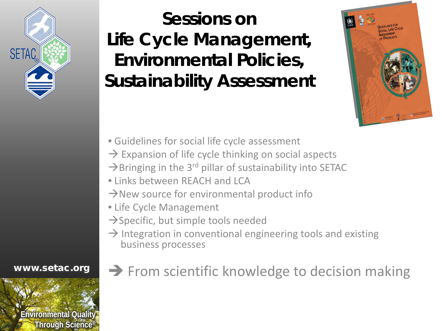![](_page_30_Picture_0.jpeg)

#### **Sessions on Life Cycle Management, Environmental Policies, Sustainability Assessment**

![](_page_30_Picture_2.jpeg)

- Guidelines for social life cycle assessment
- $\rightarrow$  Expansion of life cycle thinking on social aspects
- $\rightarrow$ Bringing in the 3<sup>rd</sup> pillar of sustainability into SETAC
- Links between REACH and LCA
- $\rightarrow$  New source for environmental product info
- Life Cycle Management
- $\rightarrow$ Specific, but simple tools needed
- $\rightarrow$  Integration in conventional engineering tools and existing business processes

www.setac.org

![](_page_30_Picture_12.jpeg)

#### $\rightarrow$  From scientific knowledge to decision making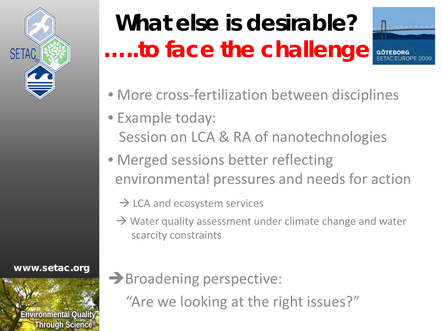![](_page_31_Picture_0.jpeg)

# **What else is desirable? …..to face the challenge**

![](_page_31_Picture_2.jpeg)

- More cross-fertilization between disciplines
- Example today: Session on LCA & RA of nanotechnologies
- Merged sessions better reflecting environmental pressures and needs for action
	- $\rightarrow$  LCA and ecosystem services
	- $\rightarrow$  Water quality assessment under climate change and water scarcity constraints

www.setac.org

![](_page_31_Picture_9.jpeg)

Broadening perspective:

"Are we looking at the right issues?"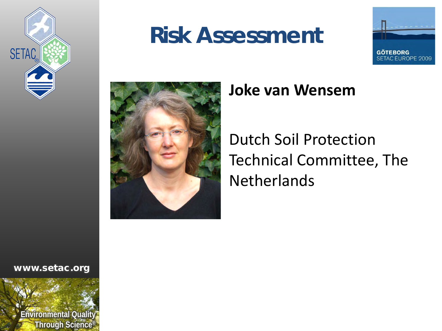![](_page_32_Picture_0.jpeg)

#### **Risk Assessment**

![](_page_32_Picture_2.jpeg)

![](_page_32_Picture_3.jpeg)

#### **Joke van Wensem**

Dutch Soil Protection Technical Committee, The **Netherlands** 

![](_page_32_Picture_7.jpeg)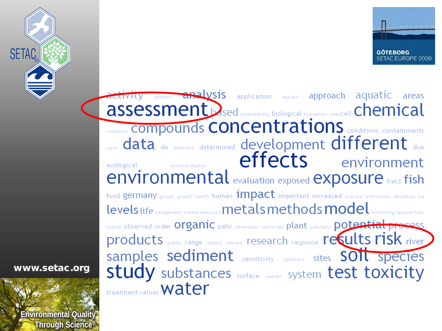![](_page_33_Picture_0.jpeg)

![](_page_33_Picture_1.jpeg)

addition analysis application applied approach aquatic areas ACLIVILV assessment based bioavailability biological biomarkers case cell Chemical **COMPOUNDS CONCENTRATIONS** conditions contaminants sycle data de detected determined development different due **effects** environment ecotoxicological ecological **environmental** evaluation exposed **exposure** field fish food germany groups growth health human impact important increased indicate information laboratory lca levels life management marine measured metals methods model monitoring nanoparticles natural observed order Organic pahs parameters pesticides plant pollutants potential process products quality range related relevant research response recults risk river Samples sediment sensitivity significant sites SOIL species **Study** substances surface sweden System test toxicity treatment values **Water** 

![](_page_33_Picture_4.jpeg)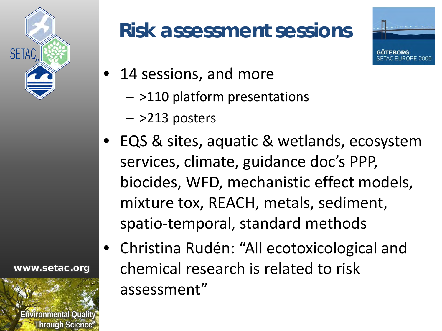![](_page_34_Picture_0.jpeg)

#### **Risk assessment sessions**

![](_page_34_Picture_2.jpeg)

- 14 sessions, and more
	- >110 platform presentations
	- >213 posters
- EQS & sites, aquatic & wetlands, ecosystem services, climate, guidance doc's PPP, biocides, WFD, mechanistic effect models, mixture tox, REACH, metals, sediment, spatio-temporal, standard methods
- Christina Rudén: "All ecotoxicological and chemical research is related to risk assessment"

![](_page_34_Picture_9.jpeg)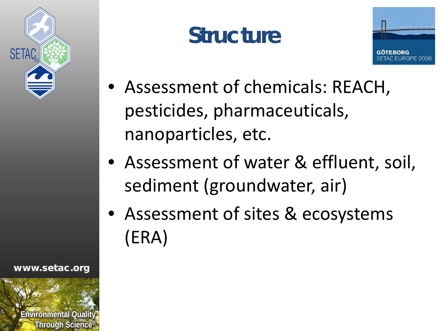![](_page_35_Picture_0.jpeg)

**Structure**

![](_page_35_Picture_2.jpeg)

- Assessment of chemicals: REACH, pesticides, pharmaceuticals, nanoparticles, etc.
- Assessment of water & effluent, soil, sediment (groundwater, air)
- Assessment of sites & ecosystems (ERA)

![](_page_35_Picture_7.jpeg)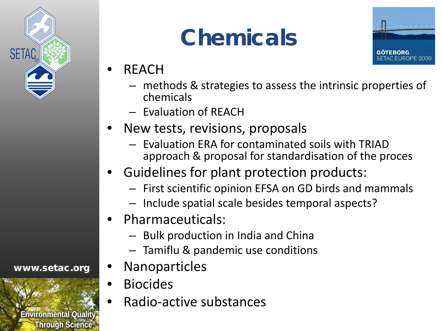![](_page_36_Picture_0.jpeg)

## **Chemicals**

![](_page_36_Picture_2.jpeg)

- REACH
	- methods & strategies to assess the intrinsic properties of chemicals
	- Evaluation of REACH
- New tests, revisions, proposals
	- Evaluation ERA for contaminated soils with TRIAD approach & proposal for standardisation of the proces
- Guidelines for plant protection products:
	- First scientific opinion EFSA on GD birds and mammals
	- Include spatial scale besides temporal aspects?
- Pharmaceuticals:
	- Bulk production in India and China
	- Tamiflu & pandemic use conditions
- **Nanoparticles**
- Biocides
	- Radio-active substances

![](_page_36_Picture_18.jpeg)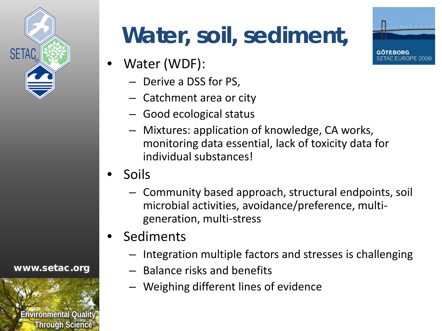![](_page_37_Picture_0.jpeg)

# **Water, soil, sediment,**

- Water (WDF):
	- Derive a DSS for PS,
	- Catchment area or city
	- Good ecological status
	- Mixtures: application of knowledge, CA works, monitoring data essential, lack of toxicity data for individual substances!
- Soils
	- Community based approach, structural endpoints, soil microbial activities, avoidance/preference, multigeneration, multi-stress
- **Sediments** 
	- Integration multiple factors and stresses is challenging
	- Balance risks and benefits
	- Weighing different lines of evidence

![](_page_37_Picture_13.jpeg)

![](_page_37_Picture_15.jpeg)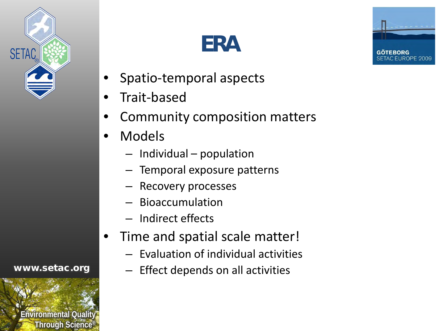![](_page_38_Picture_0.jpeg)

## **ERA**

![](_page_38_Picture_2.jpeg)

- Spatio-temporal aspects
- Trait-based
- Community composition matters
- Models
	- Individual population
	- Temporal exposure patterns
	- Recovery processes
	- Bioaccumulation
	- Indirect effects
- Time and spatial scale matter!
	- Evaluation of individual activities
	- Effect depends on all activities

![](_page_38_Picture_16.jpeg)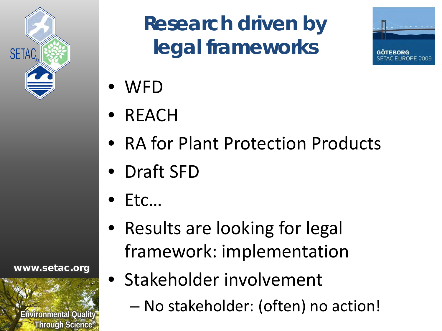![](_page_39_Picture_0.jpeg)

## **Research driven by legal frameworks**

![](_page_39_Picture_2.jpeg)

- WFD
- REACH
- RA for Plant Protection Products
- Draft SFD
- $\bullet$  Etc...
- Results are looking for legal framework: implementation
- **Ending Triponmental Quality Through Science®**

- Stakeholder involvement
	- No stakeholder: (often) no action!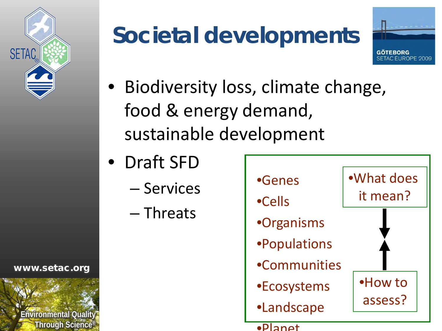![](_page_40_Picture_0.jpeg)

## **Societal developments**

![](_page_40_Picture_2.jpeg)

- Biodiversity loss, climate change, food & energy demand, sustainable development
- Draft SFD
	- Services
	- Threats

![](_page_40_Figure_7.jpeg)

![](_page_40_Picture_9.jpeg)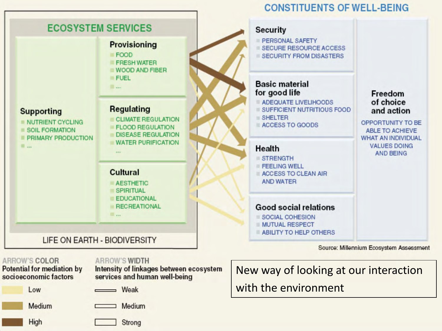![](_page_41_Figure_0.jpeg)

#### **ARROW'S COLOR**

Potential for mediation by<br>socioeconomic factors

Low Medium **Environmental Quality Through Science®**

**ARROW'S WIDTH** 

Intensity of linkages between ecosystem services and human well-being

 $\longrightarrow$  Weak

Medium

Strong

New way of looking at our interaction with the environment